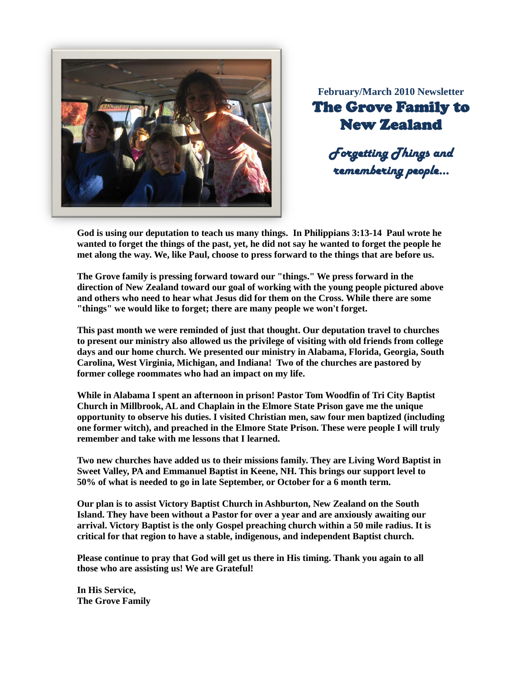

**February/March 2010 Newsletter** The Grove Family to New Zealand

> *Forgetting Things and remembering people…*

**God is using our deputation to teach us many things. In Philippians 3:13-14 Paul wrote he wanted to forget the things of the past, yet, he did not say he wanted to forget the people he met along the way. We, like Paul, choose to press forward to the things that are before us.**

**The Grove family is pressing forward toward our "things." We press forward in the direction of New Zealand toward our goal of working with the young people pictured above and others who need to hear what Jesus did for them on the Cross. While there are some "things" we would like to forget; there are many people we won't forget.**

**This past month we were reminded of just that thought. Our deputation travel to churches to present our ministry also allowed us the privilege of visiting with old friends from college days and our home church. We presented our ministry in Alabama, Florida, Georgia, South Carolina, West Virginia, Michigan, and Indiana! Two of the churches are pastored by former college roommates who had an impact on my life.**

**While in Alabama I spent an afternoon in prison! Pastor Tom Woodfin of Tri City Baptist Church in Millbrook, AL and Chaplain in the Elmore State Prison gave me the unique opportunity to observe his duties. I visited Christian men, saw four men baptized (including one former witch), and preached in the Elmore State Prison. These were people I will truly remember and take with me lessons that I learned.**

**Two new churches have added us to their missions family. They are Living Word Baptist in Sweet Valley, PA and Emmanuel Baptist in Keene, NH. This brings our support level to 50% of what is needed to go in late September, or October for a 6 month term.**

**Our plan is to assist Victory Baptist Church in Ashburton, New Zealand on the South Island. They have been without a Pastor for over a year and are anxiously awaiting our arrival. Victory Baptist is the only Gospel preaching church within a 50 mile radius. It is critical for that region to have a stable, indigenous, and independent Baptist church.**

**Please continue to pray that God will get us there in His timing. Thank you again to all those who are assisting us! We are Grateful!**

**In His Service, The Grove Family**